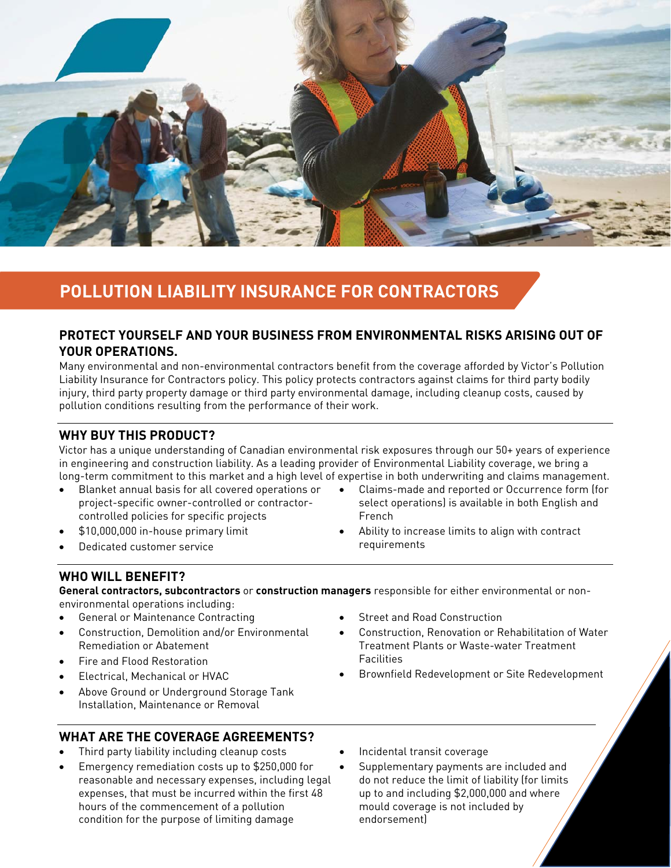

# **POLLUTION LIABILITY INSURANCE FOR CONTRACTORS**

## **PROTECT YOURSELF AND YOUR BUSINESS FROM ENVIRONMENTAL RISKS ARISING OUT OF YOUR OPERATIONS.**

Many environmental and non-environmental contractors benefit from the coverage afforded by Victor's Pollution Liability Insurance for Contractors policy. This policy protects contractors against claims for third party bodily injury, third party property damage or third party environmental damage, including cleanup costs, caused by pollution conditions resulting from the performance of their work.

# **WHY BUY THIS PRODUCT?**

Victor has a unique understanding of Canadian environmental risk exposures through our 50+ years of experience in engineering and construction liability. As a leading provider of Environmental Liability coverage, we bring a long-term commitment to this market and a high level of expertise in both underwriting and claims management.

- Blanket annual basis for all covered operations or project-specific owner-controlled or contractorcontrolled policies for specific projects
- \$10,000,000 in-house primary limit
- Dedicated customer service
- Claims-made and reported or Occurrence form (for select operations) is available in both English and French
- Ability to increase limits to align with contract requirements

### **WHO WILL BENEFIT?**

**General contractors, subcontractors** or **construction managers** responsible for either environmental or nonenvironmental operations including:

- General or Maintenance Contracting
- Construction, Demolition and/or Environmental Remediation or Abatement
- Fire and Flood Restoration
- Electrical, Mechanical or HVAC
- Above Ground or Underground Storage Tank Installation, Maintenance or Removal

# **WHAT ARE THE COVERAGE AGREEMENTS?**

- Third party liability including cleanup costs
- Emergency remediation costs up to \$250,000 for reasonable and necessary expenses, including legal expenses, that must be incurred within the first 48 hours of the commencement of a pollution condition for the purpose of limiting damage
- Street and Road Construction
- Construction, Renovation or Rehabilitation of Water Treatment Plants or Waste-water Treatment **Facilities**
- Brownfield Redevelopment or Site Redevelopment
- Incidental transit coverage
- Supplementary payments are included and do not reduce the limit of liability (for limits up to and including \$2,000,000 and where mould coverage is not included by endorsement)